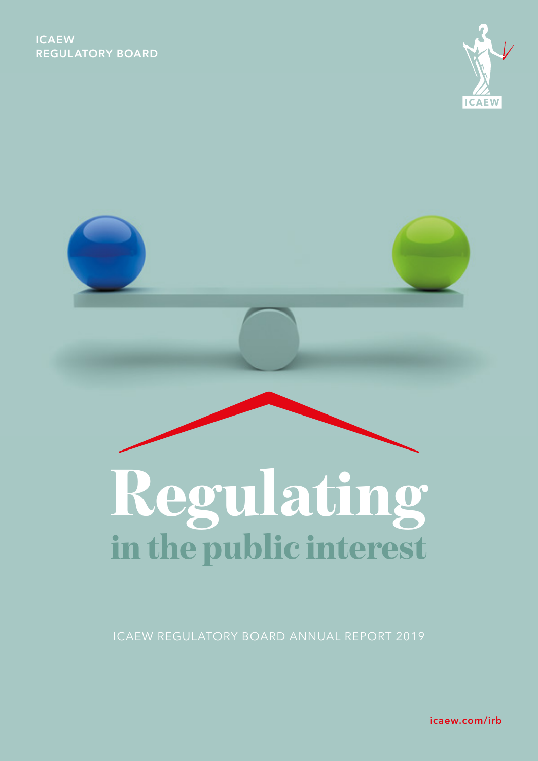



ICAEW REGULATORY BOARD ANNUAL REPORT 2019

[icaew.com/irb](http://icaew.com/irb)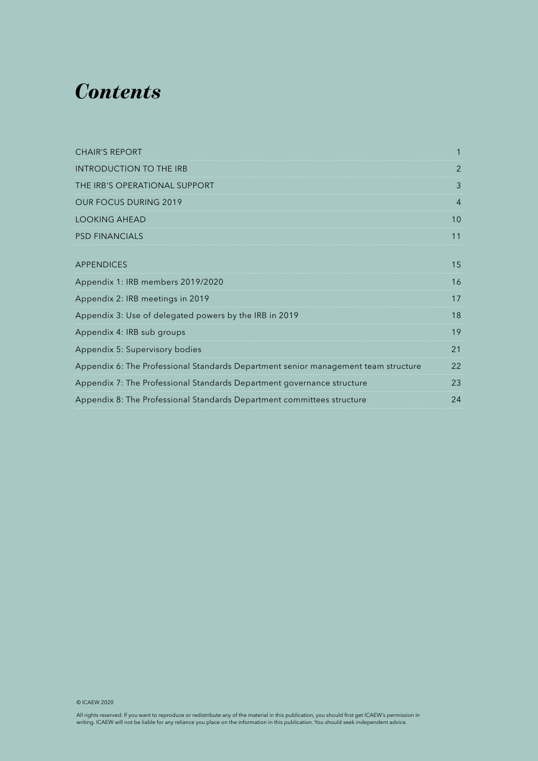# *Contents*

| <b>CHAIR'S REPORT</b>                                                              |    |
|------------------------------------------------------------------------------------|----|
| <b>INTRODUCTION TO THE IRB</b>                                                     | 2  |
| THE IRB'S OPERATIONAL SUPPORT                                                      | 3  |
| <b>OUR FOCUS DURING 2019</b>                                                       | 4  |
| <b>LOOKING AHEAD</b>                                                               | 10 |
| <b>PSD FINANCIALS</b>                                                              | 11 |
| <b>APPENDICES</b>                                                                  | 15 |
| Appendix 1: IRB members 2019/2020                                                  | 16 |
| Appendix 2: IRB meetings in 2019                                                   | 17 |
| Appendix 3: Use of delegated powers by the IRB in 2019                             | 18 |
| Appendix 4: IRB sub groups                                                         | 19 |
| Appendix 5: Supervisory bodies                                                     | 21 |
| Appendix 6: The Professional Standards Department senior management team structure | 22 |
| Appendix 7: The Professional Standards Department governance structure             | 23 |
| Appendix 8: The Professional Standards Department committees structure             | 24 |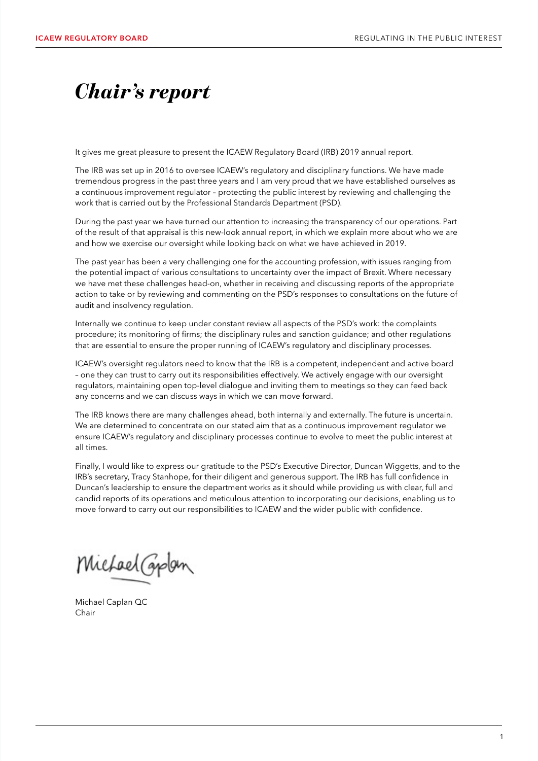# <span id="page-2-0"></span>*Chair's report*

It gives me great pleasure to present the ICAEW Regulatory Board (IRB) 2019 annual report.

The IRB was set up in 2016 to oversee ICAEW's regulatory and disciplinary functions. We have made tremendous progress in the past three years and I am very proud that we have established ourselves as a continuous improvement regulator – protecting the public interest by reviewing and challenging the work that is carried out by the Professional Standards Department (PSD).

During the past year we have turned our attention to increasing the transparency of our operations. Part of the result of that appraisal is this new-look annual report, in which we explain more about who we are and how we exercise our oversight while looking back on what we have achieved in 2019.

The past year has been a very challenging one for the accounting profession, with issues ranging from the potential impact of various consultations to uncertainty over the impact of Brexit. Where necessary we have met these challenges head-on, whether in receiving and discussing reports of the appropriate action to take or by reviewing and commenting on the PSD's responses to consultations on the future of audit and insolvency regulation.

Internally we continue to keep under constant review all aspects of the PSD's work: the complaints procedure; its monitoring of firms; the disciplinary rules and sanction guidance; and other regulations that are essential to ensure the proper running of ICAEW's regulatory and disciplinary processes.

ICAEW's oversight regulators need to know that the IRB is a competent, independent and active board – one they can trust to carry out its responsibilities effectively. We actively engage with our oversight regulators, maintaining open top-level dialogue and inviting them to meetings so they can feed back any concerns and we can discuss ways in which we can move forward.

The IRB knows there are many challenges ahead, both internally and externally. The future is uncertain. We are determined to concentrate on our stated aim that as a continuous improvement regulator we ensure ICAEW's regulatory and disciplinary processes continue to evolve to meet the public interest at all times.

Finally, I would like to express our gratitude to the PSD's Executive Director, Duncan Wiggetts, and to the IRB's secretary, Tracy Stanhope, for their diligent and generous support. The IRB has full confidence in Duncan's leadership to ensure the department works as it should while providing us with clear, full and candid reports of its operations and meticulous attention to incorporating our decisions, enabling us to move forward to carry out our responsibilities to ICAEW and the wider public with confidence.

Michael Caplon

Michael Caplan QC Chair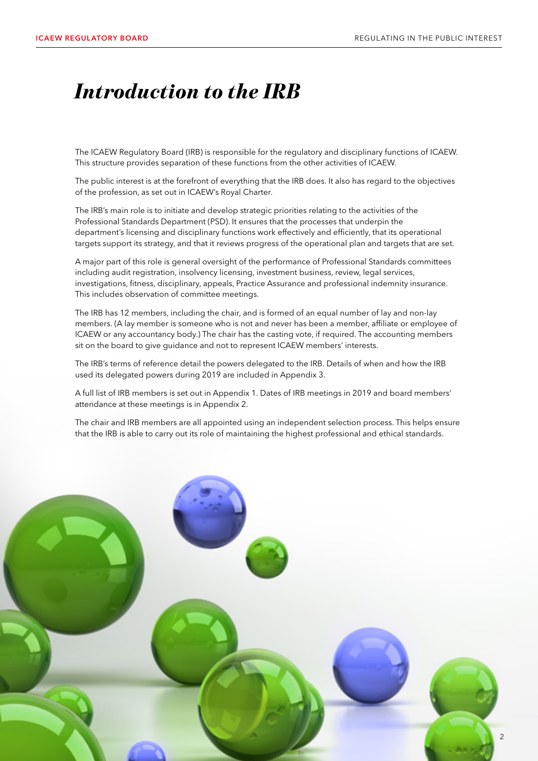# <span id="page-3-0"></span>*Introduction to the IRB*

The ICAEW Regulatory Board (IRB) is responsible for the regulatory and disciplinary functions of ICAEW. This structure provides separation of these functions from the other activities of ICAEW.

The public interest is at the forefront of everything that the IRB does. It also has regard to the objectives of the profession, as set out in ICAEW's Royal Charter.

The IRB's main role is to initiate and develop strategic priorities relating to the activities of the Professional Standards Department (PSD). It ensures that the processes that underpin the department's licensing and disciplinary functions work effectively and efficiently, that its operational targets support its strategy, and that it reviews progress of the operational plan and targets that are set.

A major part of this role is general oversight of the performance of Professional Standards committees including audit registration, insolvency licensing, investment business, review, legal services, investigations, fitness, disciplinary, appeals, Practice Assurance and professional indemnity insurance. This includes observation of committee meetings.

The IRB has 12 members, including the chair, and is formed of an equal number of lay and non-lay members. (A lay member is someone who is not and never has been a member, affiliate or employee of ICAEW or any accountancy body.) The chair has the casting vote, if required. The accounting members sit on the board to give guidance and not to represent ICAEW members' interests.

The IRB's terms of reference detail the powers delegated to the IRB. Details of when and how the IRB used its delegated powers during 2019 are included in Appendix 3.

A full list of IRB members is set out in Appendix 1. Dates of IRB meetings in 2019 and board members' attendance at these meetings is in Appendix 2.

The chair and IRB members are all appointed using an independent selection process. This helps ensure that the IRB is able to carry out its role of maintaining the highest professional and ethical standards.

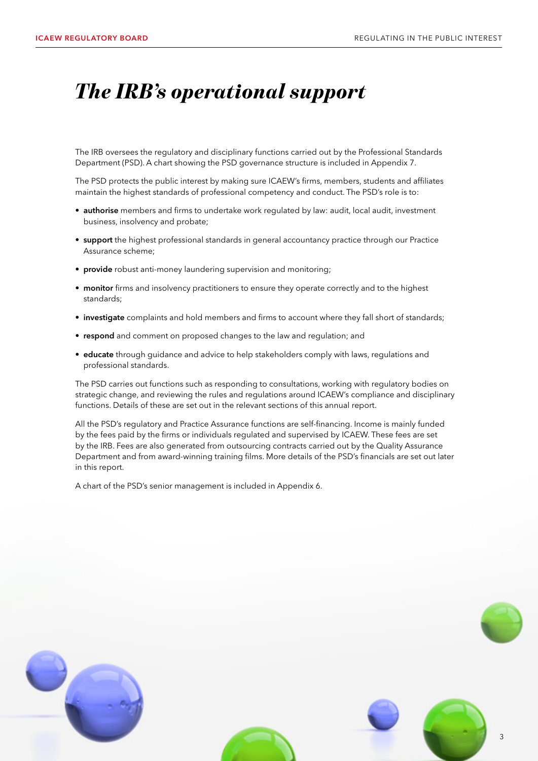### <span id="page-4-0"></span>*The IRB's operational support*

The IRB oversees the regulatory and disciplinary functions carried out by the Professional Standards Department (PSD). A chart showing the PSD governance structure is included in Appendix 7.

The PSD protects the public interest by making sure ICAEW's firms, members, students and affiliates maintain the highest standards of professional competency and conduct. The PSD's role is to:

- authorise members and firms to undertake work regulated by law: audit, local audit, investment business, insolvency and probate;
- support the highest professional standards in general accountancy practice through our Practice Assurance scheme;
- provide robust anti-money laundering supervision and monitoring;
- monitor firms and insolvency practitioners to ensure they operate correctly and to the highest standards;
- investigate complaints and hold members and firms to account where they fall short of standards;
- respond and comment on proposed changes to the law and regulation; and
- educate through guidance and advice to help stakeholders comply with laws, regulations and professional standards.

The PSD carries out functions such as responding to consultations, working with regulatory bodies on strategic change, and reviewing the rules and regulations around ICAEW's compliance and disciplinary functions. Details of these are set out in the relevant sections of this annual report.

All the PSD's regulatory and Practice Assurance functions are self-financing. Income is mainly funded by the fees paid by the firms or individuals regulated and supervised by ICAEW. These fees are set by the IRB. Fees are also generated from outsourcing contracts carried out by the Quality Assurance Department and from award-winning training films. More details of the PSD's financials are set out later in this report.

A chart of the PSD's senior management is included in Appendix 6.

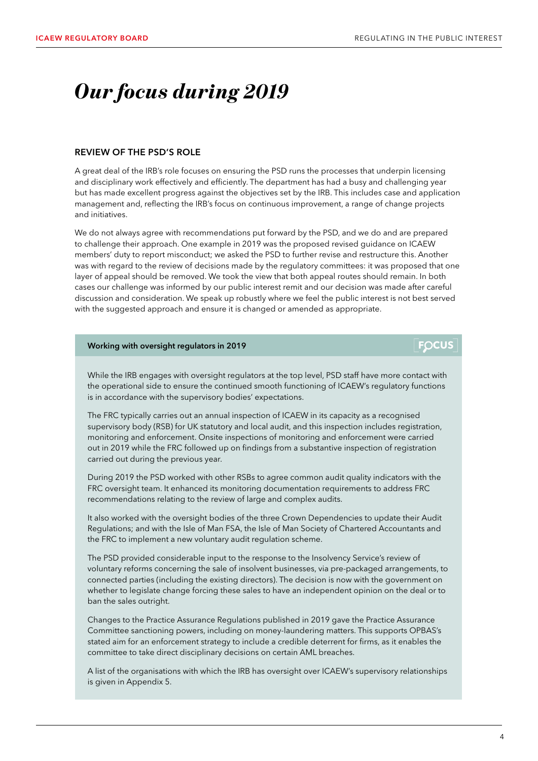**FOCUS** 

# <span id="page-5-0"></span>*Our focus during 2019*

### REVIEW OF THE PSD'S ROLE

A great deal of the IRB's role focuses on ensuring the PSD runs the processes that underpin licensing and disciplinary work effectively and efficiently. The department has had a busy and challenging year but has made excellent progress against the objectives set by the IRB. This includes case and application management and, reflecting the IRB's focus on continuous improvement, a range of change projects and initiatives.

We do not always agree with recommendations put forward by the PSD, and we do and are prepared to challenge their approach. One example in 2019 was the proposed revised guidance on ICAEW members' duty to report misconduct; we asked the PSD to further revise and restructure this. Another was with regard to the review of decisions made by the regulatory committees: it was proposed that one layer of appeal should be removed. We took the view that both appeal routes should remain. In both cases our challenge was informed by our public interest remit and our decision was made after careful discussion and consideration. We speak up robustly where we feel the public interest is not best served with the suggested approach and ensure it is changed or amended as appropriate.

### Working with oversight regulators in 2019

While the IRB engages with oversight regulators at the top level, PSD staff have more contact with the operational side to ensure the continued smooth functioning of ICAEW's regulatory functions is in accordance with the supervisory bodies' expectations.

The FRC typically carries out an annual inspection of ICAEW in its capacity as a recognised supervisory body (RSB) for UK statutory and local audit, and this inspection includes registration, monitoring and enforcement. Onsite inspections of monitoring and enforcement were carried out in 2019 while the FRC followed up on findings from a substantive inspection of registration carried out during the previous year.

During 2019 the PSD worked with other RSBs to agree common audit quality indicators with the FRC oversight team. It enhanced its monitoring documentation requirements to address FRC recommendations relating to the review of large and complex audits.

It also worked with the oversight bodies of the three Crown Dependencies to update their Audit Regulations; and with the Isle of Man FSA, the Isle of Man Society of Chartered Accountants and the FRC to implement a new voluntary audit regulation scheme.

The PSD provided considerable input to the response to the Insolvency Service's review of voluntary reforms concerning the sale of insolvent businesses, via pre-packaged arrangements, to connected parties (including the existing directors). The decision is now with the government on whether to legislate change forcing these sales to have an independent opinion on the deal or to ban the sales outright.

Changes to the Practice Assurance Regulations published in 2019 gave the Practice Assurance Committee sanctioning powers, including on money-laundering matters. This supports OPBAS's stated aim for an enforcement strategy to include a credible deterrent for firms, as it enables the committee to take direct disciplinary decisions on certain AML breaches.

A list of the organisations with which the IRB has oversight over ICAEW's supervisory relationships is given in Appendix 5.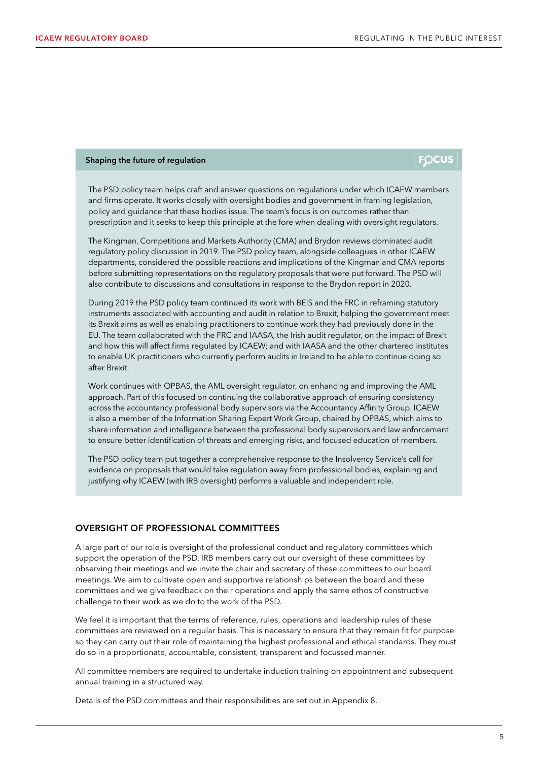### Shaping the future of regulation

### **FOCUS**

The PSD policy team helps craft and answer questions on regulations under which ICAEW members and firms operate. It works closely with oversight bodies and government in framing legislation, policy and guidance that these bodies issue. The team's focus is on outcomes rather than prescription and it seeks to keep this principle at the fore when dealing with oversight regulators.

The Kingman, Competitions and Markets Authority (CMA) and Brydon reviews dominated audit regulatory policy discussion in 2019. The PSD policy team, alongside colleagues in other ICAEW departments, considered the possible reactions and implications of the Kingman and CMA reports before submitting representations on the regulatory proposals that were put forward. The PSD will also contribute to discussions and consultations in response to the Brydon report in 2020.

During 2019 the PSD policy team continued its work with BEIS and the FRC in reframing statutory instruments associated with accounting and audit in relation to Brexit, helping the government meet its Brexit aims as well as enabling practitioners to continue work they had previously done in the EU. The team collaborated with the FRC and IAASA, the Irish audit regulator, on the impact of Brexit and how this will affect firms regulated by ICAEW; and with IAASA and the other chartered institutes to enable UK practitioners who currently perform audits in Ireland to be able to continue doing so after Brexit.

Work continues with OPBAS, the AML oversight regulator, on enhancing and improving the AML approach. Part of this focused on continuing the collaborative approach of ensuring consistency across the accountancy professional body supervisors via the Accountancy Affinity Group. ICAEW is also a member of the Information Sharing Expert Work Group, chaired by OPBAS, which aims to share information and intelligence between the professional body supervisors and law enforcement to ensure better identification of threats and emerging risks, and focused education of members.

The PSD policy team put together a comprehensive response to the Insolvency Service's call for evidence on proposals that would take regulation away from professional bodies, explaining and justifying why ICAEW (with IRB oversight) performs a valuable and independent role.

### OVERSIGHT OF PROFESSIONAL COMMITTEES

A large part of our role is oversight of the professional conduct and regulatory committees which support the operation of the PSD. IRB members carry out our oversight of these committees by observing their meetings and we invite the chair and secretary of these committees to our board meetings. We aim to cultivate open and supportive relationships between the board and these committees and we give feedback on their operations and apply the same ethos of constructive challenge to their work as we do to the work of the PSD.

We feel it is important that the terms of reference, rules, operations and leadership rules of these committees are reviewed on a regular basis. This is necessary to ensure that they remain fit for purpose so they can carry out their role of maintaining the highest professional and ethical standards. They must do so in a proportionate, accountable, consistent, transparent and focussed manner.

All committee members are required to undertake induction training on appointment and subsequent annual training in a structured way.

Details of the PSD committees and their responsibilities are set out in Appendix 8.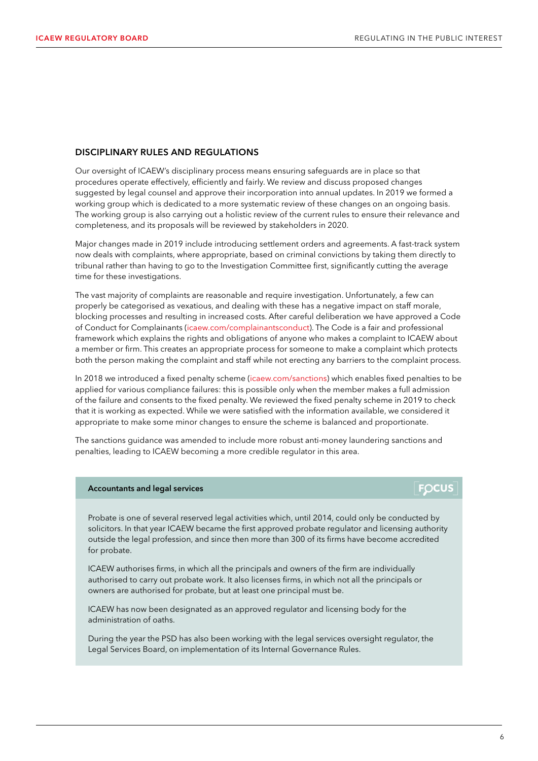**FOCUS** 

### DISCIPLINARY RULES AND REGULATIONS

Our oversight of ICAEW's disciplinary process means ensuring safeguards are in place so that procedures operate effectively, efficiently and fairly. We review and discuss proposed changes suggested by legal counsel and approve their incorporation into annual updates. In 2019 we formed a working group which is dedicated to a more systematic review of these changes on an ongoing basis. The working group is also carrying out a holistic review of the current rules to ensure their relevance and completeness, and its proposals will be reviewed by stakeholders in 2020.

Major changes made in 2019 include introducing settlement orders and agreements. A fast-track system now deals with complaints, where appropriate, based on criminal convictions by taking them directly to tribunal rather than having to go to the Investigation Committee first, significantly cutting the average time for these investigations.

The vast majority of complaints are reasonable and require investigation. Unfortunately, a few can properly be categorised as vexatious, and dealing with these has a negative impact on staff morale, blocking processes and resulting in increased costs. After careful deliberation we have approved a Code of Conduct for Complainants [\(icaew.com/complainantsconduct](http://icaew.com/complainantsconduct)). The Code is a fair and professional framework which explains the rights and obligations of anyone who makes a complaint to ICAEW about a member or firm. This creates an appropriate process for someone to make a complaint which protects both the person making the complaint and staff while not erecting any barriers to the complaint process.

In 2018 we introduced a fixed penalty scheme ([icaew.com/sanctions\)](http://icaew.com/sanctions) which enables fixed penalties to be applied for various compliance failures: this is possible only when the member makes a full admission of the failure and consents to the fixed penalty. We reviewed the fixed penalty scheme in 2019 to check that it is working as expected. While we were satisfied with the information available, we considered it appropriate to make some minor changes to ensure the scheme is balanced and proportionate.

The sanctions guidance was amended to include more robust anti-money laundering sanctions and penalties, leading to ICAEW becoming a more credible regulator in this area.

### Accountants and legal services

Probate is one of several reserved legal activities which, until 2014, could only be conducted by solicitors. In that year ICAEW became the first approved probate regulator and licensing authority outside the legal profession, and since then more than 300 of its firms have become accredited for probate.

ICAEW authorises firms, in which all the principals and owners of the firm are individually authorised to carry out probate work. It also licenses firms, in which not all the principals or owners are authorised for probate, but at least one principal must be.

ICAEW has now been designated as an approved regulator and licensing body for the administration of oaths.

During the year the PSD has also been working with the legal services oversight regulator, the Legal Services Board, on implementation of its Internal Governance Rules.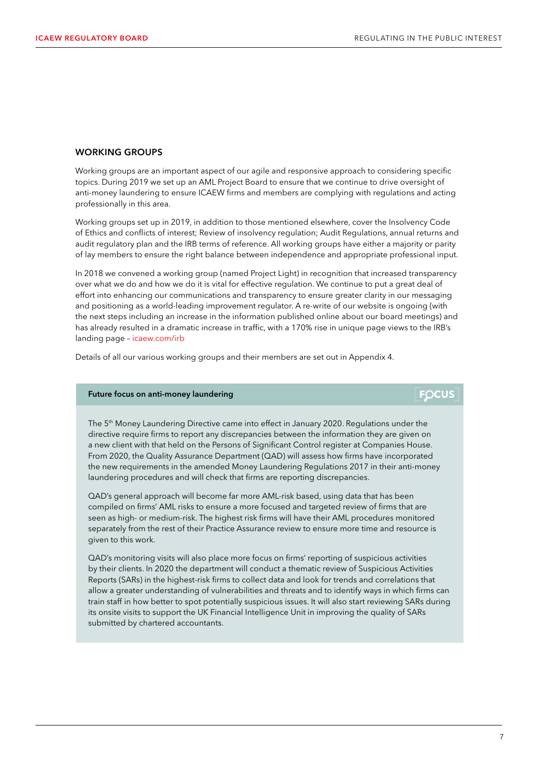### WORKING GROUPS

Working groups are an important aspect of our agile and responsive approach to considering specific topics. During 2019 we set up an AML Project Board to ensure that we continue to drive oversight of anti-money laundering to ensure ICAEW firms and members are complying with regulations and acting professionally in this area.

Working groups set up in 2019, in addition to those mentioned elsewhere, cover the Insolvency Code of Ethics and conflicts of interest; Review of insolvency regulation; Audit Regulations, annual returns and audit regulatory plan and the IRB terms of reference. All working groups have either a majority or parity of lay members to ensure the right balance between independence and appropriate professional input.

In 2018 we convened a working group (named Project Light) in recognition that increased transparency over what we do and how we do it is vital for effective regulation. We continue to put a great deal of effort into enhancing our communications and transparency to ensure greater clarity in our messaging and positioning as a world-leading improvement regulator. A re-write of our website is ongoing (with the next steps including an increase in the information published online about our board meetings) and has already resulted in a dramatic increase in traffic, with a 170% rise in unique page views to the IRB's landing page – [icaew.com/irb](http://icaew.com/irb)

Details of all our various working groups and their members are set out in Appendix 4.

### Future focus on anti-money laundering

The 5<sup>th</sup> Money Laundering Directive came into effect in January 2020. Regulations under the directive require firms to report any discrepancies between the information they are given on a new client with that held on the Persons of Significant Control register at Companies House. From 2020, the Quality Assurance Department (QAD) will assess how firms have incorporated the new requirements in the amended Money Laundering Regulations 2017 in their anti-money laundering procedures and will check that firms are reporting discrepancies.

QAD's general approach will become far more AML-risk based, using data that has been compiled on firms' AML risks to ensure a more focused and targeted review of firms that are seen as high- or medium-risk. The highest risk firms will have their AML procedures monitored separately from the rest of their Practice Assurance review to ensure more time and resource is given to this work.

QAD's monitoring visits will also place more focus on firms' reporting of suspicious activities by their clients. In 2020 the department will conduct a thematic review of Suspicious Activities Reports (SARs) in the highest-risk firms to collect data and look for trends and correlations that allow a greater understanding of vulnerabilities and threats and to identify ways in which firms can train staff in how better to spot potentially suspicious issues. It will also start reviewing SARs during its onsite visits to support the UK Financial Intelligence Unit in improving the quality of SARs submitted by chartered accountants.

### **FOCUS**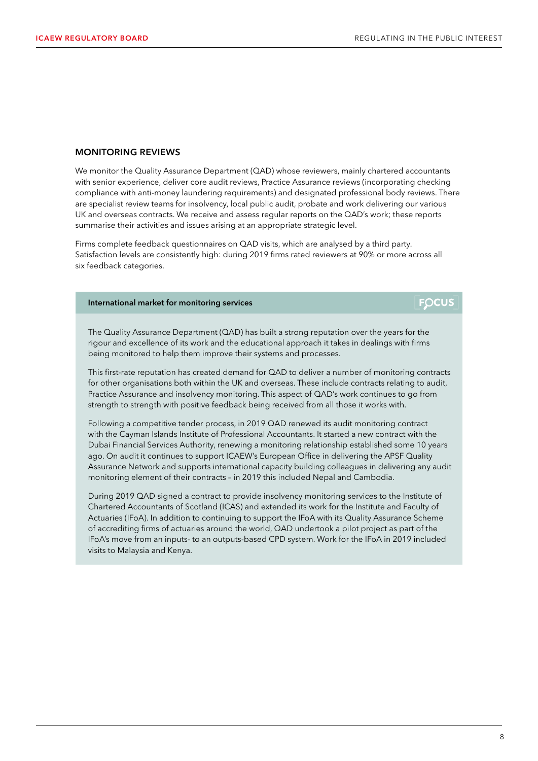### MONITORING REVIEWS

We monitor the Quality Assurance Department (QAD) whose reviewers, mainly chartered accountants with senior experience, deliver core audit reviews, Practice Assurance reviews (incorporating checking compliance with anti-money laundering requirements) and designated professional body reviews. There are specialist review teams for insolvency, local public audit, probate and work delivering our various UK and overseas contracts. We receive and assess regular reports on the QAD's work; these reports summarise their activities and issues arising at an appropriate strategic level.

Firms complete feedback questionnaires on QAD visits, which are analysed by a third party. Satisfaction levels are consistently high: during 2019 firms rated reviewers at 90% or more across all six feedback categories.

### International market for monitoring services

### **FOCUS**

The Quality Assurance Department (QAD) has built a strong reputation over the years for the rigour and excellence of its work and the educational approach it takes in dealings with firms being monitored to help them improve their systems and processes.

This first-rate reputation has created demand for QAD to deliver a number of monitoring contracts for other organisations both within the UK and overseas. These include contracts relating to audit, Practice Assurance and insolvency monitoring. This aspect of QAD's work continues to go from strength to strength with positive feedback being received from all those it works with.

Following a competitive tender process, in 2019 QAD renewed its audit monitoring contract with the Cayman Islands Institute of Professional Accountants. It started a new contract with the Dubai Financial Services Authority, renewing a monitoring relationship established some 10 years ago. On audit it continues to support ICAEW's European Office in delivering the APSF Quality Assurance Network and supports international capacity building colleagues in delivering any audit monitoring element of their contracts – in 2019 this included Nepal and Cambodia.

During 2019 QAD signed a contract to provide insolvency monitoring services to the Institute of Chartered Accountants of Scotland (ICAS) and extended its work for the Institute and Faculty of Actuaries (IFoA). In addition to continuing to support the IFoA with its Quality Assurance Scheme of accrediting firms of actuaries around the world, QAD undertook a pilot project as part of the IFoA's move from an inputs- to an outputs-based CPD system. Work for the IFoA in 2019 included visits to Malaysia and Kenya.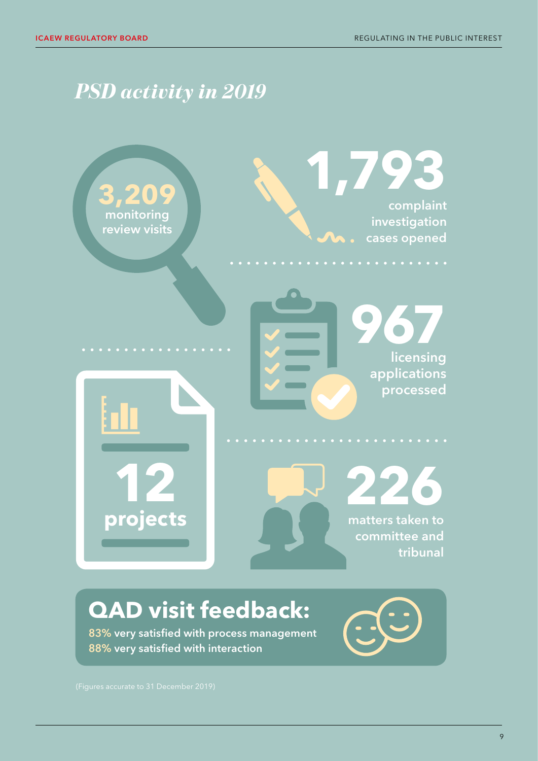# *PSD activity in 2019*



# **QAD visit feedback:**

83% very satisfied with process management 88% very satisfied with interaction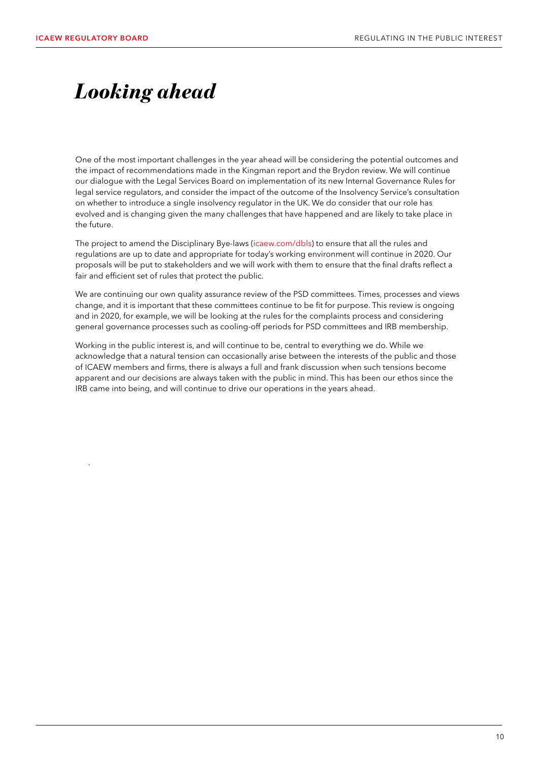.

# <span id="page-11-0"></span>*Looking ahead*

One of the most important challenges in the year ahead will be considering the potential outcomes and the impact of recommendations made in the Kingman report and the Brydon review. We will continue our dialogue with the Legal Services Board on implementation of its new Internal Governance Rules for legal service regulators, and consider the impact of the outcome of the Insolvency Service's consultation on whether to introduce a single insolvency regulator in the UK. We do consider that our role has evolved and is changing given the many challenges that have happened and are likely to take place in the future.

The project to amend the Disciplinary Bye-laws [\(icaew.com/dbls\)](http://icaew.com/dbls) to ensure that all the rules and regulations are up to date and appropriate for today's working environment will continue in 2020. Our proposals will be put to stakeholders and we will work with them to ensure that the final drafts reflect a fair and efficient set of rules that protect the public.

We are continuing our own quality assurance review of the PSD committees. Times, processes and views change, and it is important that these committees continue to be fit for purpose. This review is ongoing and in 2020, for example, we will be looking at the rules for the complaints process and considering general governance processes such as cooling-off periods for PSD committees and IRB membership.

Working in the public interest is, and will continue to be, central to everything we do. While we acknowledge that a natural tension can occasionally arise between the interests of the public and those of ICAEW members and firms, there is always a full and frank discussion when such tensions become apparent and our decisions are always taken with the public in mind. This has been our ethos since the IRB came into being, and will continue to drive our operations in the years ahead.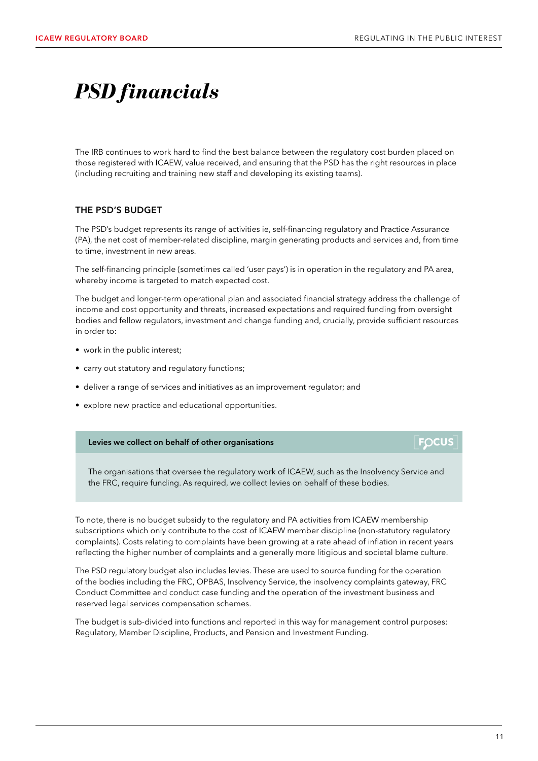**FOCUS** 

# <span id="page-12-0"></span>*PSD financials*

The IRB continues to work hard to find the best balance between the regulatory cost burden placed on those registered with ICAEW, value received, and ensuring that the PSD has the right resources in place (including recruiting and training new staff and developing its existing teams).

### THE PSD'S BUDGET

The PSD's budget represents its range of activities ie, self-financing regulatory and Practice Assurance (PA), the net cost of member-related discipline, margin generating products and services and, from time to time, investment in new areas.

The self-financing principle (sometimes called 'user pays') is in operation in the regulatory and PA area, whereby income is targeted to match expected cost.

The budget and longer-term operational plan and associated financial strategy address the challenge of income and cost opportunity and threats, increased expectations and required funding from oversight bodies and fellow regulators, investment and change funding and, crucially, provide sufficient resources in order to:

- work in the public interest;
- carry out statutory and regulatory functions;
- deliver a range of services and initiatives as an improvement regulator; and
- explore new practice and educational opportunities.

### Levies we collect on behalf of other organisations

The organisations that oversee the regulatory work of ICAEW, such as the Insolvency Service and the FRC, require funding. As required, we collect levies on behalf of these bodies.

To note, there is no budget subsidy to the regulatory and PA activities from ICAEW membership subscriptions which only contribute to the cost of ICAEW member discipline (non-statutory regulatory complaints). Costs relating to complaints have been growing at a rate ahead of inflation in recent years reflecting the higher number of complaints and a generally more litigious and societal blame culture.

The PSD regulatory budget also includes levies. These are used to source funding for the operation of the bodies including the FRC, OPBAS, Insolvency Service, the insolvency complaints gateway, FRC Conduct Committee and conduct case funding and the operation of the investment business and reserved legal services compensation schemes.

The budget is sub-divided into functions and reported in this way for management control purposes: Regulatory, Member Discipline, Products, and Pension and Investment Funding.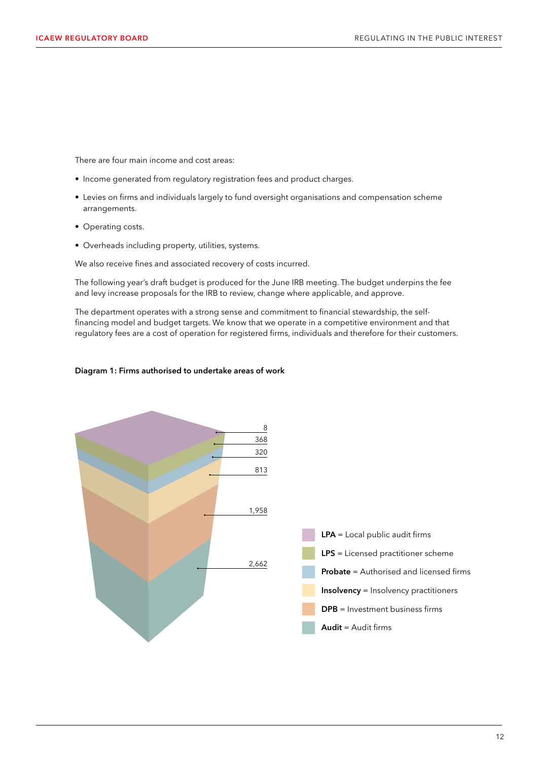There are four main income and cost areas:

- Income generated from regulatory registration fees and product charges.
- Levies on firms and individuals largely to fund oversight organisations and compensation scheme arrangements.
- Operating costs.
- Overheads including property, utilities, systems.

We also receive fines and associated recovery of costs incurred.

The following year's draft budget is produced for the June IRB meeting. The budget underpins the fee and levy increase proposals for the IRB to review, change where applicable, and approve.

The department operates with a strong sense and commitment to financial stewardship, the selffinancing model and budget targets. We know that we operate in a competitive environment and that regulatory fees are a cost of operation for registered firms, individuals and therefore for their customers.





#### 12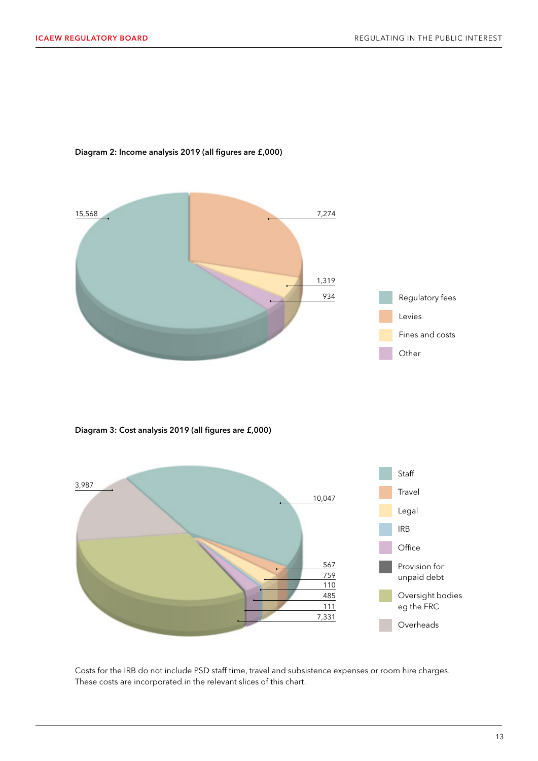

### Diagram 2: Income analysis 2019 (all figures are £,000)

Diagram 3: Cost analysis 2019 (all figures are £,000)



Costs for the IRB do not include PSD staff time, travel and subsistence expenses or room hire charges. These costs are incorporated in the relevant slices of this chart.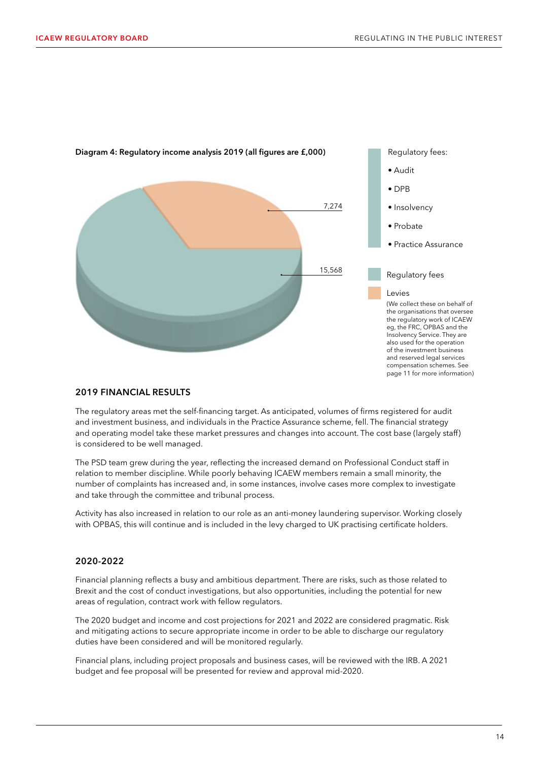

Diagram 4: Regulatory income analysis 2019 (all figures are £,000)

### 2019 FINANCIAL RESULTS

The regulatory areas met the self-financing target. As anticipated, volumes of firms registered for audit and investment business, and individuals in the Practice Assurance scheme, fell. The financial strategy and operating model take these market pressures and changes into account. The cost base (largely staff) is considered to be well managed.

The PSD team grew during the year, reflecting the increased demand on Professional Conduct staff in relation to member discipline. While poorly behaving ICAEW members remain a small minority, the number of complaints has increased and, in some instances, involve cases more complex to investigate and take through the committee and tribunal process.

Activity has also increased in relation to our role as an anti-money laundering supervisor. Working closely with OPBAS, this will continue and is included in the levy charged to UK practising certificate holders.

### 2020-2022

Financial planning reflects a busy and ambitious department. There are risks, such as those related to Brexit and the cost of conduct investigations, but also opportunities, including the potential for new areas of regulation, contract work with fellow regulators.

The 2020 budget and income and cost projections for 2021 and 2022 are considered pragmatic. Risk and mitigating actions to secure appropriate income in order to be able to discharge our regulatory duties have been considered and will be monitored regularly.

Financial plans, including project proposals and business cases, will be reviewed with the IRB. A 2021 budget and fee proposal will be presented for review and approval mid-2020.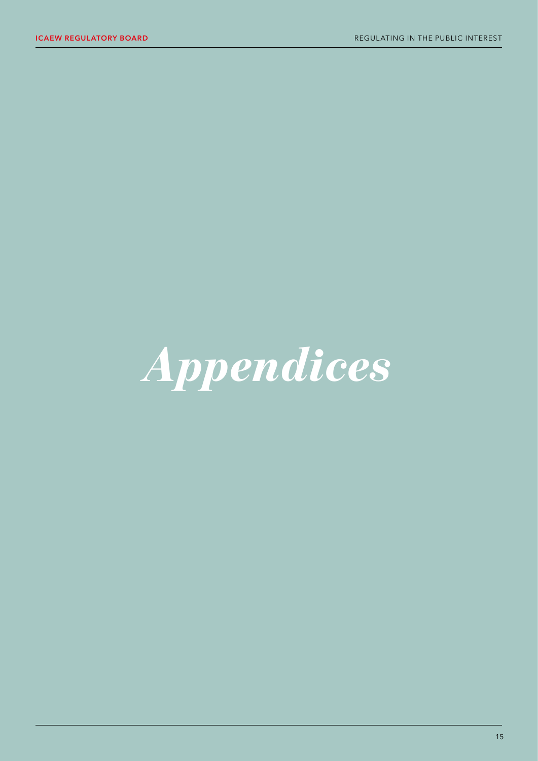# <span id="page-16-0"></span>*Appendices*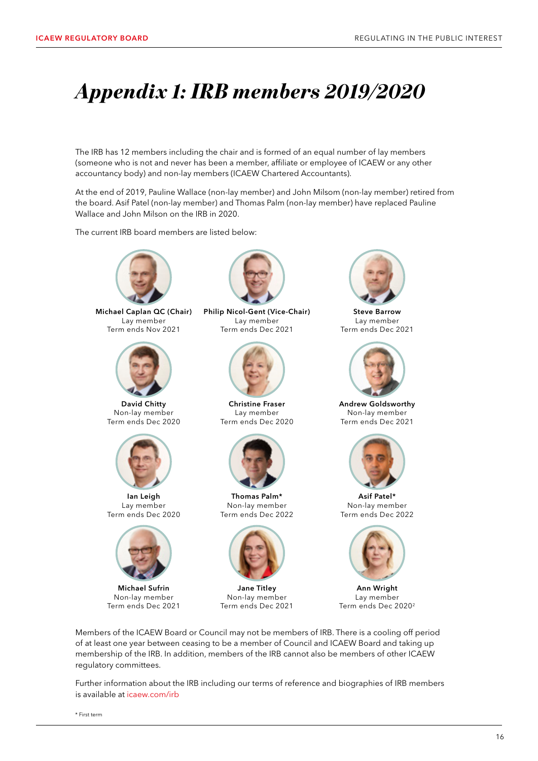# <span id="page-17-0"></span>*Appendix 1: IRB members 2019/2020*

The IRB has 12 members including the chair and is formed of an equal number of lay members (someone who is not and never has been a member, affiliate or employee of ICAEW or any other accountancy body) and non-lay members (ICAEW Chartered Accountants).

At the end of 2019, Pauline Wallace (non-lay member) and John Milsom (non-lay member) retired from the board. Asif Patel (non-lay member) and Thomas Palm (non-lay member) have replaced Pauline Wallace and John Milson on the IRB in 2020.

The current IRB board members are listed below:



Michael Caplan QC (Chair) Lay member Term ends Nov 2021



David Chitty Non-lay member Term ends Dec 2020



Ian Leigh Lay member Term ends Dec 2020



Michael Sufrin Non-lay member Term ends Dec 2021



Philip Nicol-Gent (Vice-Chair) Lay member Term ends Dec 2021



Christine Fraser Lay member Term ends Dec 2020



Thomas Palm\* Non-lay member Term ends Dec 2022



Jane Titley Non-lay member Term ends Dec 2021



Steve Barrow Lay member Term ends Dec 2021



Andrew Goldsworthy Non-lay member Term ends Dec 2021



Asif Patel\* Non-lay member Term ends Dec 2022



Ann Wright Lay member Term ends Dec 20202

Members of the ICAEW Board or Council may not be members of IRB. There is a cooling off period of at least one year between ceasing to be a member of Council and ICAEW Board and taking up membership of the IRB. In addition, members of the IRB cannot also be members of other ICAEW regulatory committees.

Further information about the IRB including our terms of reference and biographies of IRB members is available at [icaew.com/irb](http://icaew.com/irb)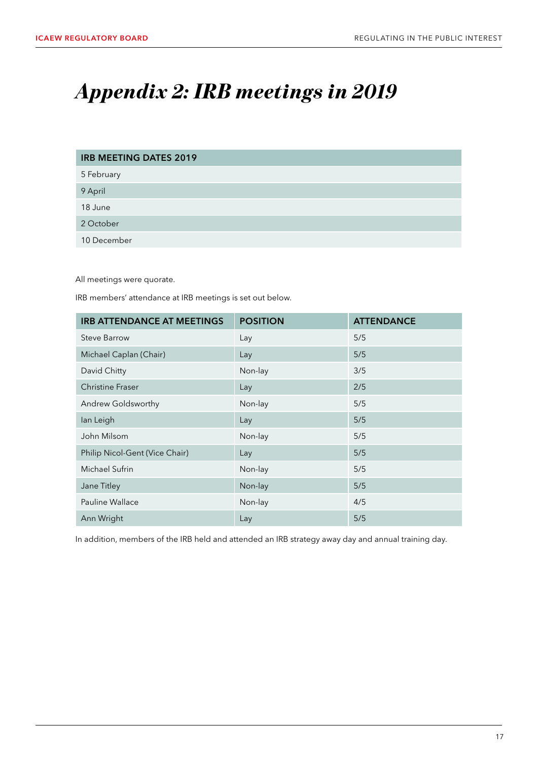# <span id="page-18-0"></span>*Appendix 2: IRB meetings in 2019*

| <b>IRB MEETING DATES 2019</b> |
|-------------------------------|
| 5 February                    |
| 9 April                       |
| 18 June                       |
| 2 October                     |
| 10 December                   |

All meetings were quorate.

IRB members' attendance at IRB meetings is set out below.

| <b>IRB ATTENDANCE AT MEETINGS</b> | <b>POSITION</b> | <b>ATTENDANCE</b> |
|-----------------------------------|-----------------|-------------------|
| <b>Steve Barrow</b>               | Lay             | 5/5               |
| Michael Caplan (Chair)            | Lay             | 5/5               |
| David Chitty                      | Non-lay         | 3/5               |
| <b>Christine Fraser</b>           | Lay             | 2/5               |
| Andrew Goldsworthy                | Non-lay         | 5/5               |
| lan Leigh                         | Lay             | 5/5               |
| John Milsom                       | Non-lay         | 5/5               |
| Philip Nicol-Gent (Vice Chair)    | Lay             | 5/5               |
| Michael Sufrin                    | Non-lay         | 5/5               |
| Jane Titley                       | Non-lay         | 5/5               |
| Pauline Wallace                   | Non-lay         | 4/5               |
| Ann Wright                        | Lay             | 5/5               |

In addition, members of the IRB held and attended an IRB strategy away day and annual training day.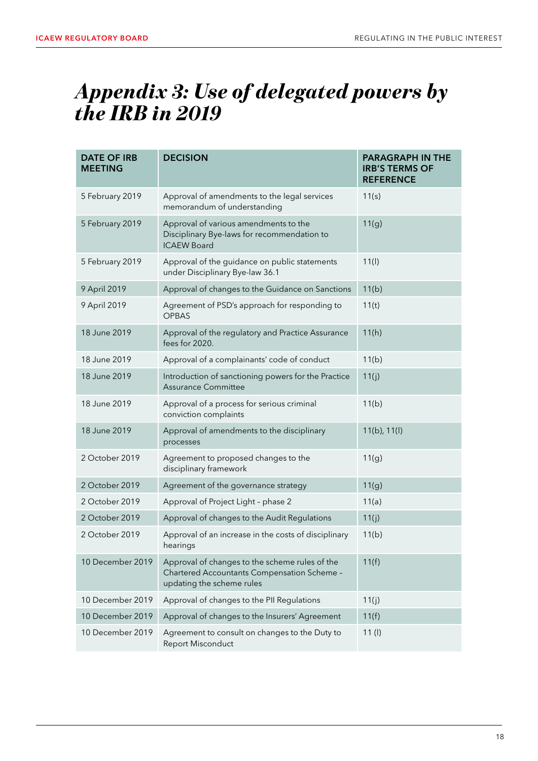# <span id="page-19-0"></span>*Appendix 3: Use of delegated powers by the IRB in 2019*

| <b>DATE OF IRB</b><br><b>MEETING</b> | <b>DECISION</b>                                                                                                            | <b>PARAGRAPH IN THE</b><br><b>IRB'S TERMS OF</b><br><b>REFERENCE</b> |
|--------------------------------------|----------------------------------------------------------------------------------------------------------------------------|----------------------------------------------------------------------|
| 5 February 2019                      | Approval of amendments to the legal services<br>memorandum of understanding                                                | 11(s)                                                                |
| 5 February 2019                      | Approval of various amendments to the<br>Disciplinary Bye-laws for recommendation to<br><b>ICAEW Board</b>                 | 11(g)                                                                |
| 5 February 2019                      | Approval of the guidance on public statements<br>under Disciplinary Bye-law 36.1                                           | 11(1)                                                                |
| 9 April 2019                         | Approval of changes to the Guidance on Sanctions                                                                           | 11(b)                                                                |
| 9 April 2019                         | Agreement of PSD's approach for responding to<br><b>OPBAS</b>                                                              | 11(t)                                                                |
| 18 June 2019                         | Approval of the regulatory and Practice Assurance<br>fees for 2020.                                                        | 11(h)                                                                |
| 18 June 2019                         | Approval of a complainants' code of conduct                                                                                | 11(b)                                                                |
| 18 June 2019                         | Introduction of sanctioning powers for the Practice<br><b>Assurance Committee</b>                                          | 11(j)                                                                |
| 18 June 2019                         | Approval of a process for serious criminal<br>conviction complaints                                                        | 11(b)                                                                |
| 18 June 2019                         | Approval of amendments to the disciplinary<br>processes                                                                    | $11(b)$ , $11(l)$                                                    |
| 2 October 2019                       | Agreement to proposed changes to the<br>disciplinary framework                                                             | 11(g)                                                                |
| 2 October 2019                       | Agreement of the governance strategy                                                                                       | 11(g)                                                                |
| 2 October 2019                       | Approval of Project Light - phase 2                                                                                        | 11(a)                                                                |
| 2 October 2019                       | Approval of changes to the Audit Regulations                                                                               | 11(j)                                                                |
| 2 October 2019                       | Approval of an increase in the costs of disciplinary<br>hearings                                                           | 11(b)                                                                |
| 10 December 2019                     | Approval of changes to the scheme rules of the<br>Chartered Accountants Compensation Scheme -<br>updating the scheme rules | 11(f)                                                                |
| 10 December 2019                     | Approval of changes to the PII Regulations                                                                                 | 11(j)                                                                |
| 10 December 2019                     | Approval of changes to the Insurers' Agreement                                                                             | 11(f)                                                                |
| 10 December 2019                     | Agreement to consult on changes to the Duty to<br>Report Misconduct                                                        | 11 (I)                                                               |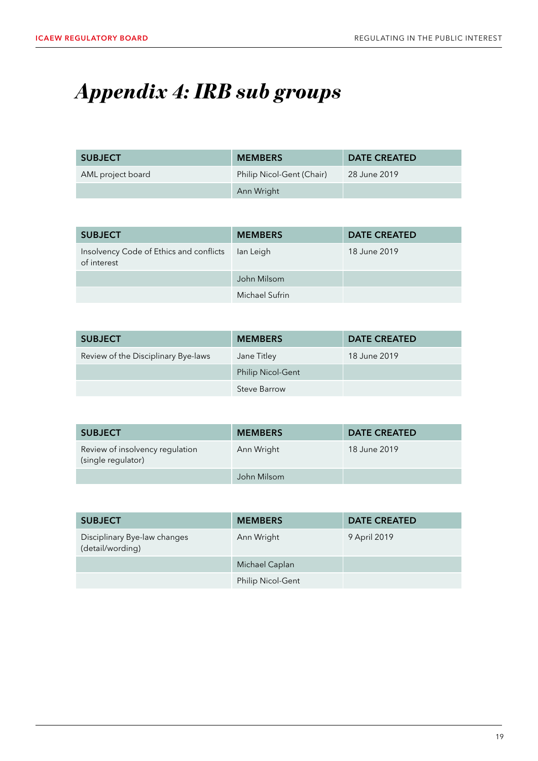# <span id="page-20-0"></span>*Appendix 4: IRB sub groups*

| <b>SUBJECT</b>    | <b>MEMBERS</b>            | <b>DATE CREATED</b> |
|-------------------|---------------------------|---------------------|
| AML project board | Philip Nicol-Gent (Chair) | 28 June 2019        |
|                   | Ann Wright                |                     |

| <b>SUBJECT</b>                                         | <b>MEMBERS</b> | <b>DATE CREATED</b> |
|--------------------------------------------------------|----------------|---------------------|
| Insolvency Code of Ethics and conflicts<br>of interest | lan Leigh      | 18 June 2019        |
|                                                        | John Milsom    |                     |
|                                                        | Michael Sufrin |                     |

| <b>SUBJECT</b>                      | <b>MEMBERS</b>           | <b>DATE CREATED</b> |
|-------------------------------------|--------------------------|---------------------|
| Review of the Disciplinary Bye-laws | Jane Titley              | 18 June 2019        |
|                                     | <b>Philip Nicol-Gent</b> |                     |
|                                     | Steve Barrow             |                     |

| <b>SUBJECT</b>                                        | <b>MEMBERS</b> | <b>DATE CREATED</b> |
|-------------------------------------------------------|----------------|---------------------|
| Review of insolvency regulation<br>(single regulator) | Ann Wright     | 18 June 2019        |
|                                                       | John Milsom    |                     |

| <b>SUBJECT</b>                                   | <b>MEMBERS</b>           | <b>DATE CREATED</b> |
|--------------------------------------------------|--------------------------|---------------------|
| Disciplinary Bye-law changes<br>(detail/wording) | Ann Wright               | 9 April 2019        |
|                                                  | Michael Caplan           |                     |
|                                                  | <b>Philip Nicol-Gent</b> |                     |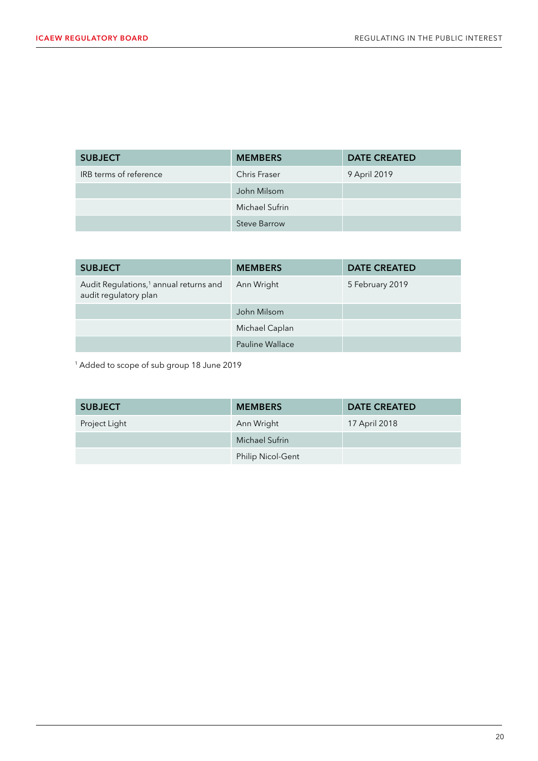| <b>SUBJECT</b>         | <b>MEMBERS</b>      | <b>DATE CREATED</b> |
|------------------------|---------------------|---------------------|
| IRB terms of reference | Chris Fraser        | 9 April 2019        |
|                        | John Milsom         |                     |
|                        | Michael Sufrin      |                     |
|                        | <b>Steve Barrow</b> |                     |

| <b>SUBJECT</b>                                                              | <b>MEMBERS</b>  | <b>DATE CREATED</b> |
|-----------------------------------------------------------------------------|-----------------|---------------------|
| Audit Regulations, <sup>1</sup> annual returns and<br>audit regulatory plan | Ann Wright      | 5 February 2019     |
|                                                                             | John Milsom     |                     |
|                                                                             | Michael Caplan  |                     |
|                                                                             | Pauline Wallace |                     |

1 Added to scope of sub group 18 June 2019

| <b>SUBJECT</b> | <b>MEMBERS</b>           | <b>DATE CREATED</b> |
|----------------|--------------------------|---------------------|
| Project Light  | Ann Wright               | 17 April 2018       |
|                | Michael Sufrin           |                     |
|                | <b>Philip Nicol-Gent</b> |                     |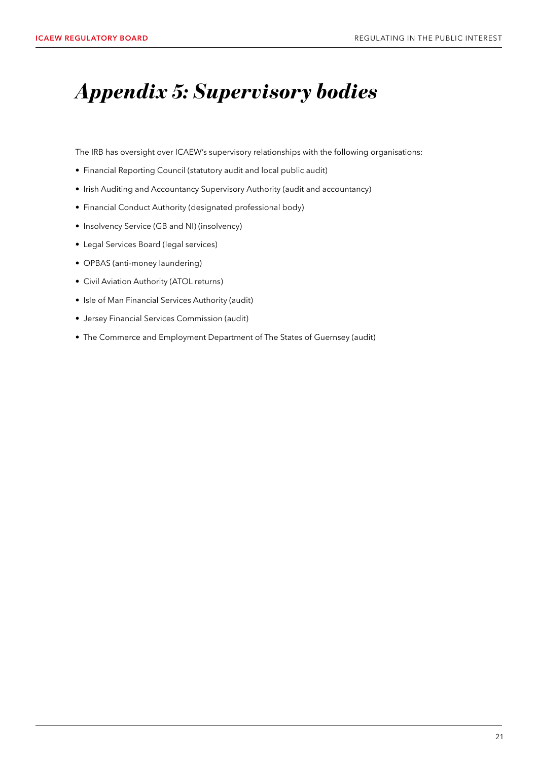# <span id="page-22-0"></span>*Appendix 5: Supervisory bodies*

The IRB has oversight over ICAEW's supervisory relationships with the following organisations:

- Financial Reporting Council (statutory audit and local public audit)
- Irish Auditing and Accountancy Supervisory Authority (audit and accountancy)
- Financial Conduct Authority (designated professional body)
- Insolvency Service (GB and NI) (insolvency)
- Legal Services Board (legal services)
- OPBAS (anti-money laundering)
- Civil Aviation Authority (ATOL returns)
- Isle of Man Financial Services Authority (audit)
- Jersey Financial Services Commission (audit)
- The Commerce and Employment Department of The States of Guernsey (audit)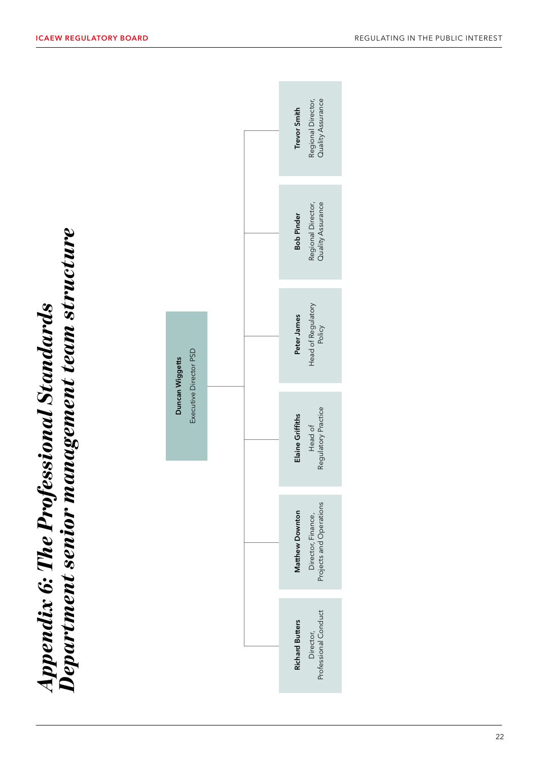<span id="page-23-0"></span>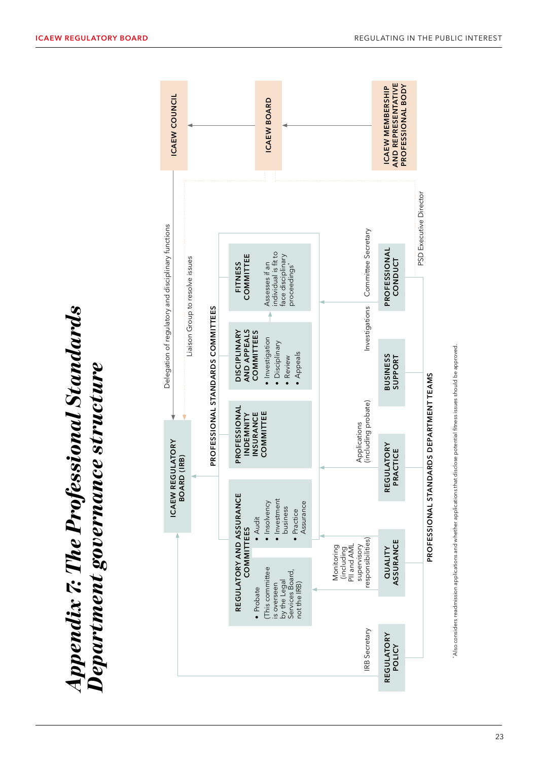<span id="page-24-0"></span>

| <b>ICAEW COUNCIL</b>                                                                   |                                   |                                                         | ICAEW BOARD                                                                      |                                                                             | AND REPRESENTATIVE<br>PROFESSIONAL BODY<br><b>ICAEW MEMBERSHIP</b> |                                         |
|----------------------------------------------------------------------------------------|-----------------------------------|---------------------------------------------------------|----------------------------------------------------------------------------------|-----------------------------------------------------------------------------|--------------------------------------------------------------------|-----------------------------------------|
| Delegation of regulatory and disciplinary functions<br>Liaison Group to resolve issues |                                   | COMMITTEE<br><b>FITNESS</b>                             | individual is fit to<br>face disciplinary<br>Assesses if an<br>proceedings'      | Committee Secretary                                                         | PROFESSIONAL<br>CONDUCT                                            | PSD Executive Director                  |
|                                                                                        | PROFESSIONAL STANDARDS COMMITTEES | AND APPEALS<br><b>DISCIPLINARY</b><br><b>COMMITTEES</b> | Investigation<br>Disciplinary<br>Appeals<br>Review                               | Investigations                                                              | <b>BUSINESS</b><br>SUPPORT                                         |                                         |
|                                                                                        |                                   | PROFESSIONAL<br>INSURANCE<br>INDEMNITY                  | COMMITTEE                                                                        | Applications<br>(including probate)                                         | REGULATORY<br>PRACTICE                                             |                                         |
| <b>ICAEW REGULATORY</b><br><b>BOARD (IRB)</b>                                          |                                   | • Audit                                                 | · Investment<br>Insolvency<br>Assurance<br>business<br>· Practice                |                                                                             |                                                                    | PROFESSIONAL STANDARDS DEPARTMENT TEAMS |
|                                                                                        |                                   | REGULATORY AND ASSURANCE<br>COMMITTEES<br>· Probate     | This committee<br>Services Board,<br>by the Legal<br>not the IRB)<br>is overseen | responsibilities)<br>supervisory<br>Monitoring<br>PII and AMI<br>(including | ASSURANCE<br>QUALITY                                               |                                         |
|                                                                                        |                                   |                                                         |                                                                                  | <b>IRB</b> Secretary                                                        | <b>REGULATORY</b><br><b>POLICY</b>                                 |                                         |



*Appendix 7: The Professional Standards* 

**Appendix 7: The Professional Standards<br>Department governamce structure** 

*Professional Standards' Department Governance*

*Department governance structure*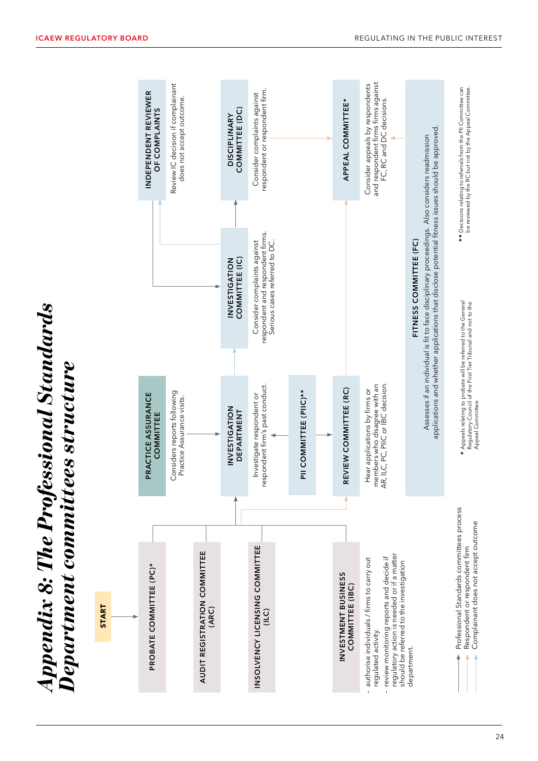<span id="page-25-0"></span>

|              | INDEPENDENT REVIEWER<br>OF COMPLAINTS | Review IC decision if complainant<br>does not accept outcome. |                                       | COMMITTEE (DC)<br><b>DISCIPLINARY</b> | respondent or respondent firm.<br>Consider complaints against                                    |                        | APPEAL COMMITTEE*                      | and respondent firms firms against<br>Consider appeals by respondents<br>FC, RC and DC decisions.                                                                                                     |                                                                                                                                                                                                                             | be reviewed by the RC but not by the Appeal Committee.<br>** Decisions relating to referrals from the PII Committee can                            |
|--------------|---------------------------------------|---------------------------------------------------------------|---------------------------------------|---------------------------------------|--------------------------------------------------------------------------------------------------|------------------------|----------------------------------------|-------------------------------------------------------------------------------------------------------------------------------------------------------------------------------------------------------|-----------------------------------------------------------------------------------------------------------------------------------------------------------------------------------------------------------------------------|----------------------------------------------------------------------------------------------------------------------------------------------------|
|              |                                       |                                                               |                                       | COMMITTEE (IC)<br>INVESTIGATION       | respondent and respondent firms.<br>Consider complaints against<br>Serious cases referred to DC. |                        |                                        |                                                                                                                                                                                                       | applications and whether applications that disclose potential fitness issues should be approved.<br>Assesses if an individual is fit to face disciplinary proceedings. Also considers readmission<br>FITNESS COMMITTEE (FC) |                                                                                                                                                    |
|              | PRACTICE ASSURANCE<br>COMMITTEE       | Considers reports following<br>Practice Assurance visits.     |                                       | INVESTIGATION<br><b>DEPARTMENT</b>    | respondent firm's past conduct.<br>Investigate respondent or                                     | PII COMMITTEE (PIIC)** | REVIEW COMMITTEE (RC)                  | members who disagree with an<br>AR, ILC, PC, PIIC or IBC decision.<br>Hear applications by firms or                                                                                                   |                                                                                                                                                                                                                             | * Appeals relating to probate will be referred to the General<br>Regulatory Council of the First Tier Tribunal and not to the<br>Appeal Committee. |
| <b>START</b> | PROBATE COMMITTEE (PC)*               |                                                               | AUDIT REGISTRATION COMMITTEE<br>(ARC) |                                       | INSOLVENCY LICENSING COMMITTEE<br>(ILC)                                                          |                        | INVESTMENT BUSINESS<br>COMMITTEE (IBC) | regulatory action is needed or if a matter<br>review monitoring reports and decide if<br>authorise individuals / firms to carry out<br>should be referred to the investigation<br>regulated activity. | department.                                                                                                                                                                                                                 | Professional Standards committees process<br>Complainant does not accept outcome<br>Respondent or respondent firm                                  |

*Appendix 8: The Professional Standards* 

**Appendix 8: The Professional Standards<br>Department committees structure** 

*Department committees structure* 

*Department committees structur*